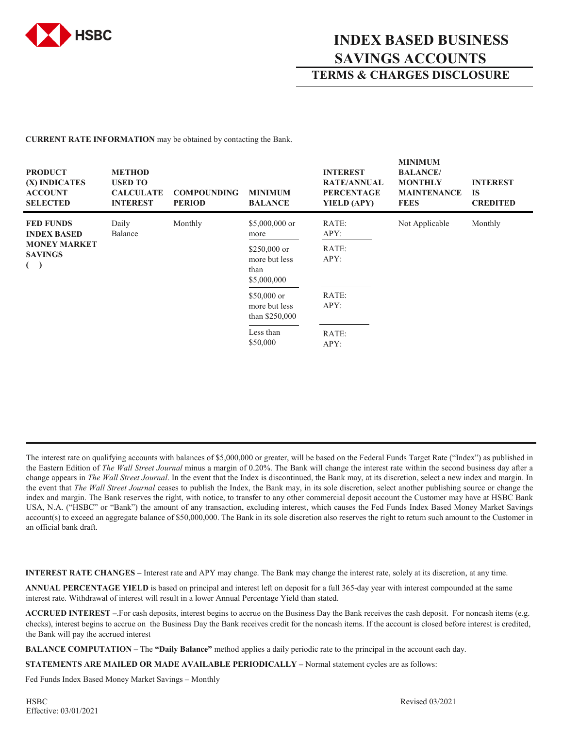

## **INDEX BASED BUSINESS SAVINGS ACCOUNTS TERMS & CHARGES DISCLOSURE**

**CURRENT RATE INFORMATION** may be obtained by contacting the Bank.

| <b>PRODUCT</b><br>(X) INDICATES<br><b>ACCOUNT</b><br><b>SELECTED</b>            | <b>METHOD</b><br><b>USED TO</b><br><b>CALCULATE</b><br><b>INTEREST</b> | <b>COMPOUNDING</b><br><b>PERIOD</b> | <b>MINIMUM</b><br><b>BALANCE</b>                      | <b>INTEREST</b><br><b>RATE/ANNUAL</b><br><b>PERCENTAGE</b><br>YIELD (APY) | <b>MINIMUM</b><br><b>BALANCE</b> /<br><b>MONTHLY</b><br><b>MAINTENANCE</b><br><b>FEES</b> | <b>INTEREST</b><br><b>IS</b><br><b>CREDITED</b> |
|---------------------------------------------------------------------------------|------------------------------------------------------------------------|-------------------------------------|-------------------------------------------------------|---------------------------------------------------------------------------|-------------------------------------------------------------------------------------------|-------------------------------------------------|
| <b>FED FUNDS</b><br><b>INDEX BASED</b><br><b>MONEY MARKET</b><br><b>SAVINGS</b> | Daily<br>Balance                                                       | Monthly                             | $$5,000,000$ or<br>more                               | RATE:<br>APY:                                                             | Not Applicable                                                                            | Monthly                                         |
|                                                                                 |                                                                        |                                     | $$250,000$ or<br>more but less<br>than<br>\$5,000,000 | RATE:<br>APY:                                                             |                                                                                           |                                                 |
|                                                                                 |                                                                        |                                     | $$50,000$ or<br>more but less<br>than \$250,000       | RATE:<br>APY:                                                             |                                                                                           |                                                 |
|                                                                                 |                                                                        |                                     | Less than<br>\$50,000                                 | RATE:<br>APY:                                                             |                                                                                           |                                                 |

The interest rate on qualifying accounts with balances of \$5,000,000 or greater, will be based on the Federal Funds Target Rate ("Index") as published in the Eastern Edition of *The Wall Street Journal* minus a margin of 0.20%. The Bank will change the interest rate within the second business day after a change appears in *The Wall Street Journal*. In the event that the Index is discontinued, the Bank may, at its discretion, select a new index and margin. In the event that *The Wall Street Journal* ceases to publish the Index, the Bank may, in its sole discretion, select another publishing source or change the index and margin. The Bank reserves the right, with notice, to transfer to any other commercial deposit account the Customer may have at HSBC Bank USA, N.A. ("HSBC" or "Bank") the amount of any transaction, excluding interest, which causes the Fed Funds Index Based Money Market Savings account(s) to exceed an aggregate balance of \$50,000,000. The Bank in its sole discretion also reserves the right to return such amount to the Customer in an official bank draft.

**INTEREST RATE CHANGES –** Interest rate and APY may change. The Bank may change the interest rate, solely at its discretion, at any time.

**ANNUAL PERCENTAGE YIELD** is based on principal and interest left on deposit for a full 365-day year with interest compounded at the same interest rate. Withdrawal of interest will result in a lower Annual Percentage Yield than stated.

**ACCRUED INTEREST –**.For cash deposits, interest begins to accrue on the Business Day the Bank receives the cash deposit. For noncash items (e.g. checks), interest begins to accrue on the Business Day the Bank receives credit for the noncash items. If the account is closed before interest is credited, the Bank will pay the accrued interest

**BALANCE COMPUTATION –** The **"Daily Balance"** method applies a daily periodic rate to the principal in the account each day.

**STATEMENTS ARE MAILED OR MADE AVAILABLE PERIODICALLY –** Normal statement cycles are as follows:

Fed Funds Index Based Money Market Savings – Monthly